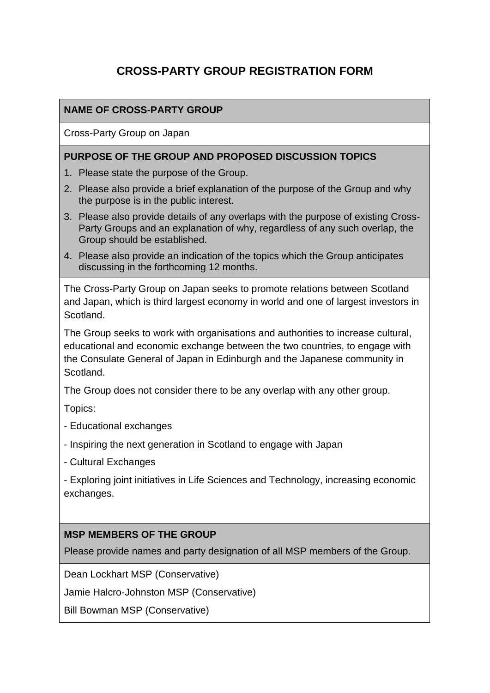# **CROSS-PARTY GROUP REGISTRATION FORM**

### **NAME OF CROSS-PARTY GROUP**

Cross-Party Group on Japan

#### **PURPOSE OF THE GROUP AND PROPOSED DISCUSSION TOPICS**

- 1. Please state the purpose of the Group.
- 2. Please also provide a brief explanation of the purpose of the Group and why the purpose is in the public interest.
- 3. Please also provide details of any overlaps with the purpose of existing Cross-Party Groups and an explanation of why, regardless of any such overlap, the Group should be established.
- 4. Please also provide an indication of the topics which the Group anticipates discussing in the forthcoming 12 months.

The Cross-Party Group on Japan seeks to promote relations between Scotland and Japan, which is third largest economy in world and one of largest investors in Scotland.

The Group seeks to work with organisations and authorities to increase cultural, educational and economic exchange between the two countries, to engage with the Consulate General of Japan in Edinburgh and the Japanese community in Scotland.

The Group does not consider there to be any overlap with any other group.

Topics:

- Educational exchanges
- Inspiring the next generation in Scotland to engage with Japan
- Cultural Exchanges

- Exploring joint initiatives in Life Sciences and Technology, increasing economic exchanges.

#### **MSP MEMBERS OF THE GROUP**

Please provide names and party designation of all MSP members of the Group.

Dean Lockhart MSP (Conservative)

Jamie Halcro-Johnston MSP (Conservative)

Bill Bowman MSP (Conservative)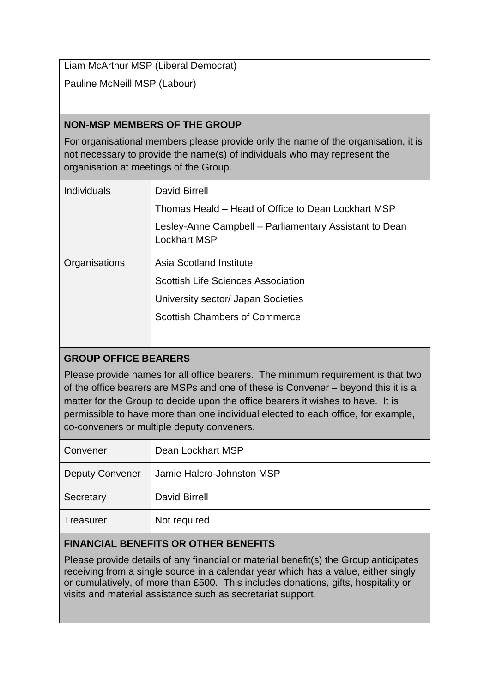Liam McArthur MSP (Liberal Democrat)

Pauline McNeill MSP (Labour)

### **NON-MSP MEMBERS OF THE GROUP**

For organisational members please provide only the name of the organisation, it is not necessary to provide the name(s) of individuals who may represent the organisation at meetings of the Group.

| Individuals   | David Birrell                                                                 |
|---------------|-------------------------------------------------------------------------------|
|               | Thomas Heald – Head of Office to Dean Lockhart MSP                            |
|               | Lesley-Anne Campbell - Parliamentary Assistant to Dean<br><b>Lockhart MSP</b> |
| Organisations | Asia Scotland Institute                                                       |
|               | <b>Scottish Life Sciences Association</b>                                     |
|               | University sector/ Japan Societies                                            |
|               | <b>Scottish Chambers of Commerce</b>                                          |
|               |                                                                               |

# **GROUP OFFICE BEARERS**

Please provide names for all office bearers. The minimum requirement is that two of the office bearers are MSPs and one of these is Convener – beyond this it is a matter for the Group to decide upon the office bearers it wishes to have. It is permissible to have more than one individual elected to each office, for example, co-conveners or multiple deputy conveners.

| Convener               | Dean Lockhart MSP         |
|------------------------|---------------------------|
| <b>Deputy Convener</b> | Jamie Halcro-Johnston MSP |
| Secretary              | <b>David Birrell</b>      |
| <b>Treasurer</b>       | Not required              |

# **FINANCIAL BENEFITS OR OTHER BENEFITS**

Please provide details of any financial or material benefit(s) the Group anticipates receiving from a single source in a calendar year which has a value, either singly or cumulatively, of more than £500. This includes donations, gifts, hospitality or visits and material assistance such as secretariat support.